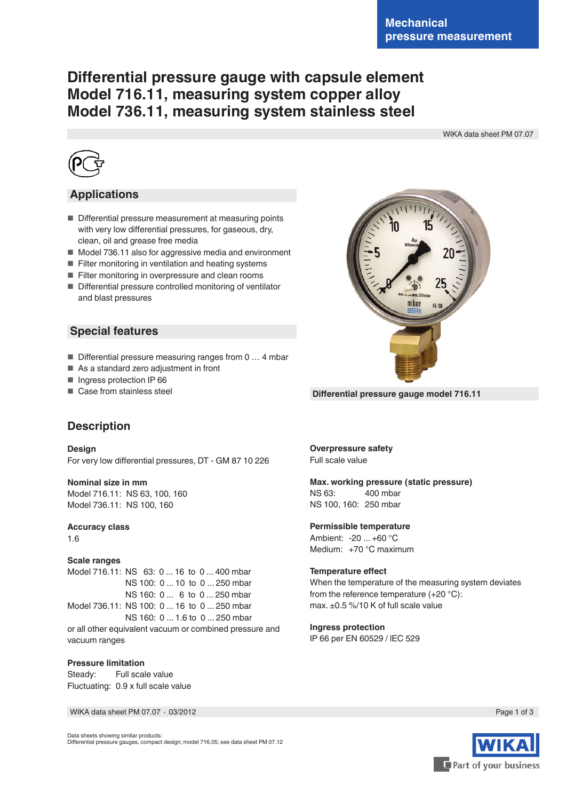# **Differential pressure gauge with capsule element Model 716.11, measuring system copper alloy Model 736.11, measuring system stainless steel**

WIKA data sheet PM 07.07



# **Applications**

- Differential pressure measurement at measuring points with very low differential pressures, for gaseous, dry, clean, oil and grease free media
- Model 736.11 also for aggressive media and environment
- Filter monitoring in ventilation and heating systems
- Filter monitoring in overpressure and clean rooms
- Differential pressure controlled monitoring of ventilator and blast pressures

### **Special features**

- Differential pressure measuring ranges from 0 ... 4 mbar
- As a standard zero adjustment in front
- Ingress protection IP 66
- Case from stainless steel



**Differential pressure gauge model 716.11**

# **Description**

**Design** For very low differential pressures, DT - GM 87 10 226

**Nominal size in mm** Model 716.11: NS 63, 100, 160 Model 736.11: NS 100, 160

**Accuracy class**

1.6

#### **Scale ranges**

Model 716.11: NS 63: 0 ... 16 to 0 ... 400 mbar NS 100: 0 ... 10 to 0 ... 250 mbar NS 160: 0 ... 6 to 0 ... 250 mbar Model 736.11: NS 100: 0 ... 16 to 0 ... 250 mbar NS 160: 0 ... 1.6 to 0 ... 250 mbar or all other equivalent vacuum or combined pressure and vacuum ranges

#### **Pressure limitation**

Steady: Full scale value Fluctuating: 0.9 x full scale value

WIKA data sheet PM 07.07 ∙ 03/2012

**Overpressure safety** Full scale value

# **Max. working pressure (static pressure)**

NS 63: 400 mbar NS 100, 160: 250 mbar

#### **Permissible temperature**

Ambient: -20 ... +60 °C Medium: +70 °C maximum

#### **Temperature effect**

When the temperature of the measuring system deviates from the reference temperature (+20 °C): max. ±0.5 %/10 K of full scale value

#### **Ingress protection**

IP 66 per EN 60529 / lEC 529



Data sheets showing similar products: Differential pressure gauges, compact design; model 716.05; see data sheet PM 07.12

Part of your business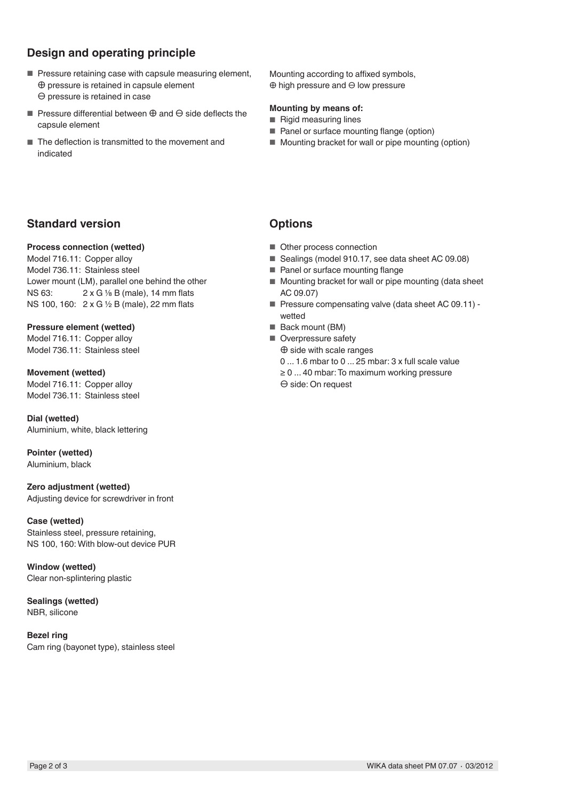# **Design and operating principle**

- Pressure retaining case with capsule measuring element, ⊕ pressure is retained in capsule element ⊖ pressure is retained in case
- Pressure differential between ⊕ and ⊖ side deflects the capsule element
- The deflection is transmitted to the movement and indicated

Mounting according to affixed symbols, ⊕ high pressure and ⊖ low pressure

#### **Mounting by means of:**

- Rigid measuring lines
- Panel or surface mounting flange (option)
- Mounting bracket for wall or pipe mounting (option)

# **Standard version**

#### **Process connection (wetted)**

Model 716.11: Copper alloy Model 736.11: Stainless steel Lower mount (LM), parallel one behind the other NS 63: 2 x G 1/8 B (male), 14 mm flats NS 100, 160: 2 x G ½ B (male), 22 mm flats

**Pressure element (wetted)** Model 716.11: Copper alloy Model 736.11: Stainless steel

**Movement (wetted)** Model 716.11: Copper alloy Model 736.11: Stainless steel

**Dial (wetted)** Aluminium, white, black lettering

**Pointer (wetted)** Aluminium, black

#### **Zero adjustment (wetted)**

Adjusting device for screwdriver in front

#### **Case (wetted)**

Stainless steel, pressure retaining, NS 100, 160: With blow-out device PUR

**Window (wetted)** Clear non-splintering plastic

**Sealings (wetted)** NBR, silicone

**Bezel ring** Cam ring (bayonet type), stainless steel

# **Options**

- Other process connection
- Sealings (model 910.17, see data sheet AC 09.08)
- Panel or surface mounting flange
- Mounting bracket for wall or pipe mounting (data sheet AC 09.07)
- Pressure compensating valve (data sheet AC 09.11) wetted
- Back mount (BM)
- Overpressure safety ⊕ side with scale ranges 0 ... 1.6 mbar to 0 ... 25 mbar: 3 x full scale value ≥ 0 ... 40 mbar: To maximum working pressure
	- ⊖ side: On request